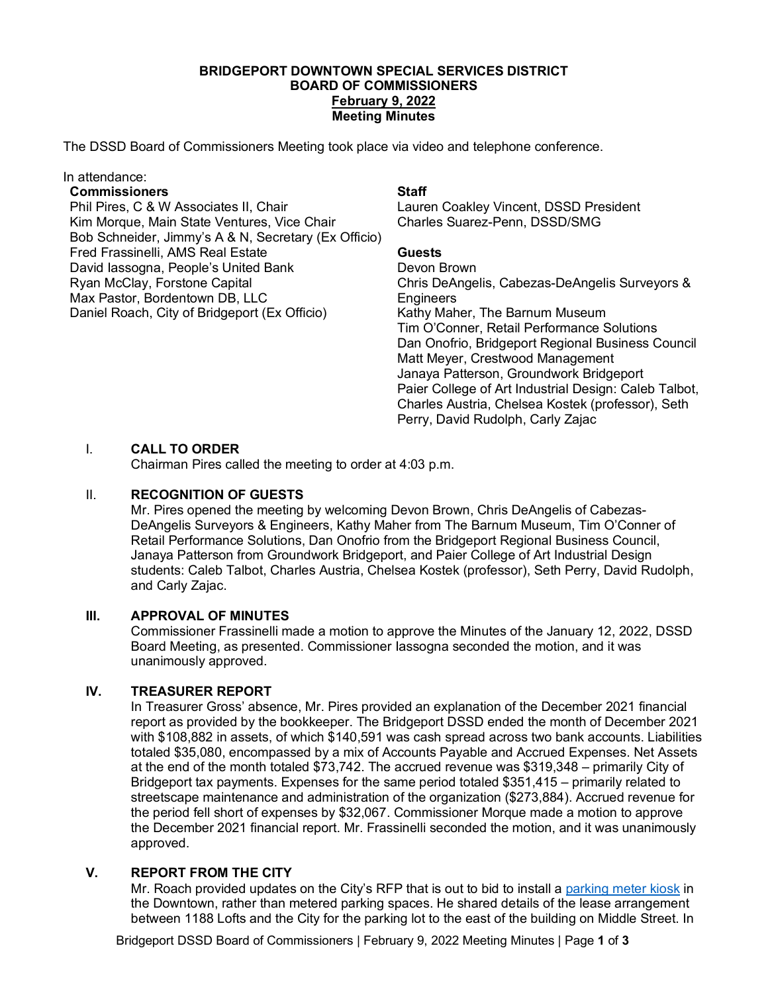## **BRIDGEPORT DOWNTOWN SPECIAL SERVICES DISTRICT BOARD OF COMMISSIONERS February 9, 2022 Meeting Minutes**

The DSSD Board of Commissioners Meeting took place via video and telephone conference.

#### In attendance:

#### **Commissioners**

Phil Pires, C & W Associates II, Chair Kim Morque, Main State Ventures, Vice Chair Bob Schneider, Jimmy's A & N, Secretary (Ex Officio) Fred Frassinelli, AMS Real Estate David Iassogna, People's United Bank Ryan McClay, Forstone Capital Max Pastor, Bordentown DB, LLC Daniel Roach, City of Bridgeport (Ex Officio)

### **Staff**

Lauren Coakley Vincent, DSSD President Charles Suarez-Penn, DSSD/SMG

# **Guests**

Devon Brown Chris DeAngelis, Cabezas-DeAngelis Surveyors & **Engineers** Kathy Maher, The Barnum Museum Tim O'Conner, Retail Performance Solutions Dan Onofrio, Bridgeport Regional Business Council Matt Meyer, Crestwood Management Janaya Patterson, Groundwork Bridgeport Paier College of Art Industrial Design: Caleb Talbot, Charles Austria, Chelsea Kostek (professor), Seth Perry, David Rudolph, Carly Zajac

## I. **CALL TO ORDER**

Chairman Pires called the meeting to order at 4:03 p.m.

## II. **RECOGNITION OF GUESTS**

Mr. Pires opened the meeting by welcoming Devon Brown, Chris DeAngelis of Cabezas-DeAngelis Surveyors & Engineers, Kathy Maher from The Barnum Museum, Tim O'Conner of Retail Performance Solutions, Dan Onofrio from the Bridgeport Regional Business Council, Janaya Patterson from Groundwork Bridgeport, and Paier College of Art Industrial Design students: Caleb Talbot, Charles Austria, Chelsea Kostek (professor), Seth Perry, David Rudolph, and Carly Zajac.

## **III. APPROVAL OF MINUTES**

Commissioner Frassinelli made a motion to approve the Minutes of the January 12, 2022, DSSD Board Meeting, as presented. Commissioner Iassogna seconded the motion, and it was unanimously approved.

## **IV. TREASURER REPORT**

In Treasurer Gross' absence, Mr. Pires provided an explanation of the December 2021 financial report as provided by the bookkeeper. The Bridgeport DSSD ended the month of December 2021 with \$108,882 in assets, of which \$140,591 was cash spread across two bank accounts. Liabilities totaled \$35,080, encompassed by a mix of Accounts Payable and Accrued Expenses. Net Assets at the end of the month totaled \$73,742. The accrued revenue was \$319,348 – primarily City of Bridgeport tax payments. Expenses for the same period totaled \$351,415 – primarily related to streetscape maintenance and administration of the organization (\$273,884). Accrued revenue for the period fell short of expenses by \$32,067. Commissioner Morque made a motion to approve the December 2021 financial report. Mr. Frassinelli seconded the motion, and it was unanimously approved.

## **V. REPORT FROM THE CITY**

Mr. Roach provided updates on the City's RFP that is out to bid to install a parking meter kiosk in the Downtown, rather than metered parking spaces. He shared details of the lease arrangement between 1188 Lofts and the City for the parking lot to the east of the building on Middle Street. In

Bridgeport DSSD Board of Commissioners | February 9, 2022 Meeting Minutes | Page **1** of **3**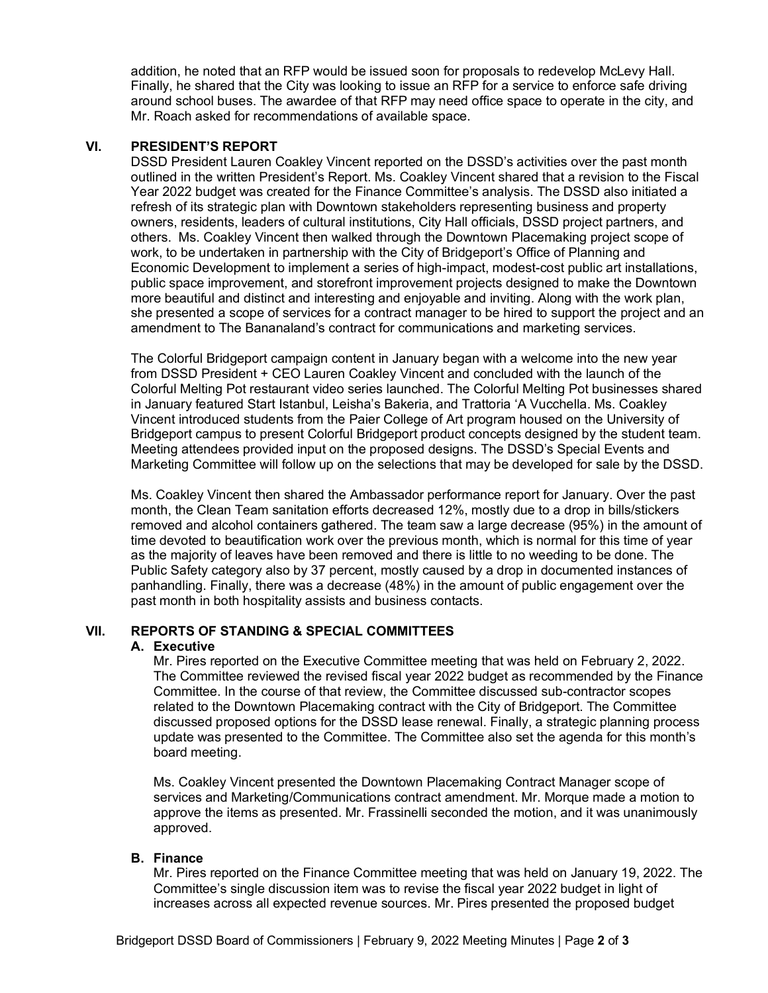addition, he noted that an RFP would be issued soon for proposals to redevelop McLevy Hall. Finally, he shared that the City was looking to issue an RFP for a service to enforce safe driving around school buses. The awardee of that RFP may need office space to operate in the city, and Mr. Roach asked for recommendations of available space.

### **VI. PRESIDENT'S REPORT**

DSSD President Lauren Coakley Vincent reported on the DSSD's activities over the past month outlined in the written President's Report. Ms. Coakley Vincent shared that a revision to the Fiscal Year 2022 budget was created for the Finance Committee's analysis. The DSSD also initiated a refresh of its strategic plan with Downtown stakeholders representing business and property owners, residents, leaders of cultural institutions, City Hall officials, DSSD project partners, and others. Ms. Coakley Vincent then walked through the Downtown Placemaking project scope of work, to be undertaken in partnership with the City of Bridgeport's Office of Planning and Economic Development to implement a series of high-impact, modest-cost public art installations, public space improvement, and storefront improvement projects designed to make the Downtown more beautiful and distinct and interesting and enjoyable and inviting. Along with the work plan, she presented a scope of services for a contract manager to be hired to support the project and an amendment to The Bananaland's contract for communications and marketing services.

The Colorful Bridgeport campaign content in January began with a welcome into the new year from DSSD President + CEO Lauren Coakley Vincent and concluded with the launch of the Colorful Melting Pot restaurant video series launched. The Colorful Melting Pot businesses shared in January featured Start Istanbul, Leisha's Bakeria, and Trattoria 'A Vucchella. Ms. Coakley Vincent introduced students from the Paier College of Art program housed on the University of Bridgeport campus to present Colorful Bridgeport product concepts designed by the student team. Meeting attendees provided input on the proposed designs. The DSSD's Special Events and Marketing Committee will follow up on the selections that may be developed for sale by the DSSD.

Ms. Coakley Vincent then shared the Ambassador performance report for January. Over the past month, the Clean Team sanitation efforts decreased 12%, mostly due to a drop in bills/stickers removed and alcohol containers gathered. The team saw a large decrease (95%) in the amount of time devoted to beautification work over the previous month, which is normal for this time of year as the majority of leaves have been removed and there is little to no weeding to be done. The Public Safety category also by 37 percent, mostly caused by a drop in documented instances of panhandling. Finally, there was a decrease (48%) in the amount of public engagement over the past month in both hospitality assists and business contacts.

## **VII. REPORTS OF STANDING & SPECIAL COMMITTEES**

#### **A. Executive**

Mr. Pires reported on the Executive Committee meeting that was held on February 2, 2022. The Committee reviewed the revised fiscal year 2022 budget as recommended by the Finance Committee. In the course of that review, the Committee discussed sub-contractor scopes related to the Downtown Placemaking contract with the City of Bridgeport. The Committee discussed proposed options for the DSSD lease renewal. Finally, a strategic planning process update was presented to the Committee. The Committee also set the agenda for this month's board meeting.

Ms. Coakley Vincent presented the Downtown Placemaking Contract Manager scope of services and Marketing/Communications contract amendment. Mr. Morque made a motion to approve the items as presented. Mr. Frassinelli seconded the motion, and it was unanimously approved.

#### **B. Finance**

Mr. Pires reported on the Finance Committee meeting that was held on January 19, 2022. The Committee's single discussion item was to revise the fiscal year 2022 budget in light of increases across all expected revenue sources. Mr. Pires presented the proposed budget